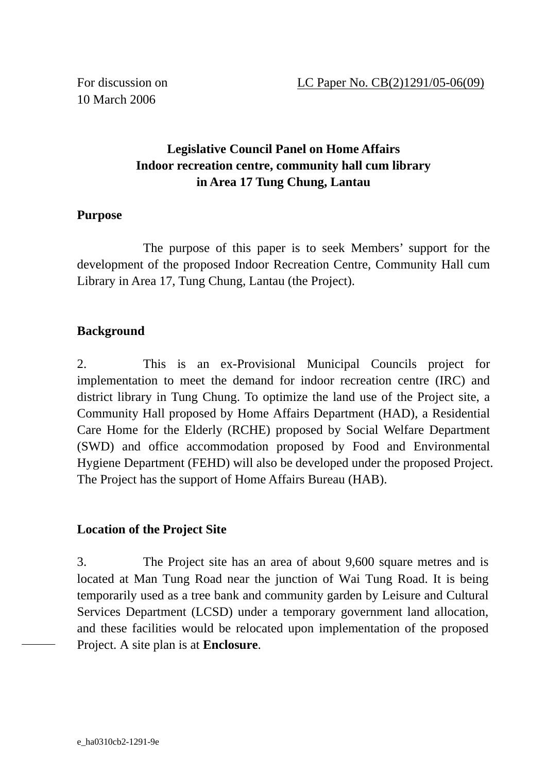10 March 2006

# **Legislative Council Panel on Home Affairs Indoor recreation centre, community hall cum library in Area 17 Tung Chung, Lantau**

### **Purpose**

 The purpose of this paper is to seek Members' support for the development of the proposed Indoor Recreation Centre, Community Hall cum Library in Area 17, Tung Chung, Lantau (the Project).

### **Background**

2. This is an ex-Provisional Municipal Councils project for implementation to meet the demand for indoor recreation centre (IRC) and district library in Tung Chung. To optimize the land use of the Project site, a Community Hall proposed by Home Affairs Department (HAD), a Residential Care Home for the Elderly (RCHE) proposed by Social Welfare Department (SWD) and office accommodation proposed by Food and Environmental Hygiene Department (FEHD) will also be developed under the proposed Project. The Project has the support of Home Affairs Bureau (HAB).

### **Location of the Project Site**

3. The Project site has an area of about 9,600 square metres and is located at Man Tung Road near the junction of Wai Tung Road. It is being temporarily used as a tree bank and community garden by Leisure and Cultural Services Department (LCSD) under a temporary government land allocation, and these facilities would be relocated upon implementation of the proposed Project. A site plan is at **Enclosure**.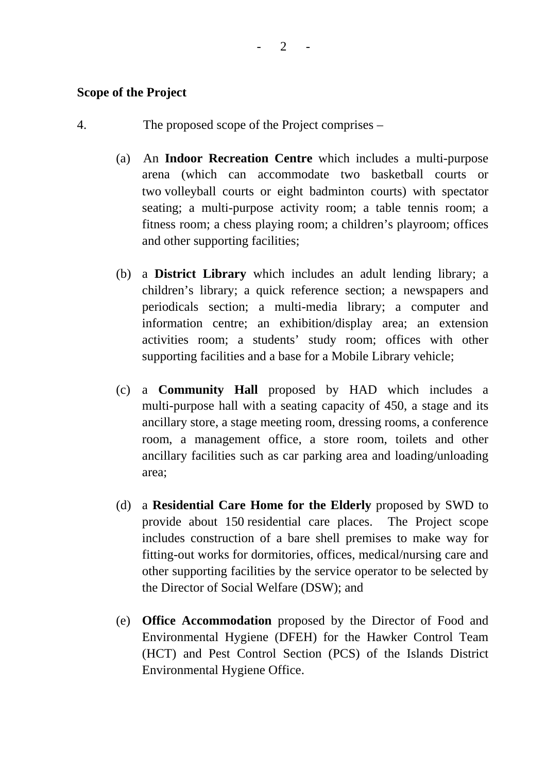#### **Scope of the Project**

- 4. The proposed scope of the Project comprises
	- (a) An **Indoor Recreation Centre** which includes a multi-purpose arena (which can accommodate two basketball courts or two volleyball courts or eight badminton courts) with spectator seating; a multi-purpose activity room; a table tennis room; a fitness room; a chess playing room; a children's playroom; offices and other supporting facilities;
	- (b) a **District Library** which includes an adult lending library; a children's library; a quick reference section; a newspapers and periodicals section; a multi-media library; a computer and information centre; an exhibition/display area; an extension activities room; a students' study room; offices with other supporting facilities and a base for a Mobile Library vehicle;
	- (c) a **Community Hall** proposed by HAD which includes a multi-purpose hall with a seating capacity of 450, a stage and its ancillary store, a stage meeting room, dressing rooms, a conference room, a management office, a store room, toilets and other ancillary facilities such as car parking area and loading/unloading area;
	- (d) a **Residential Care Home for the Elderly** proposed by SWD to provide about 150 residential care places. The Project scope includes construction of a bare shell premises to make way for fitting-out works for dormitories, offices, medical/nursing care and other supporting facilities by the service operator to be selected by the Director of Social Welfare (DSW); and
	- (e) **Office Accommodation** proposed by the Director of Food and Environmental Hygiene (DFEH) for the Hawker Control Team (HCT) and Pest Control Section (PCS) of the Islands District Environmental Hygiene Office.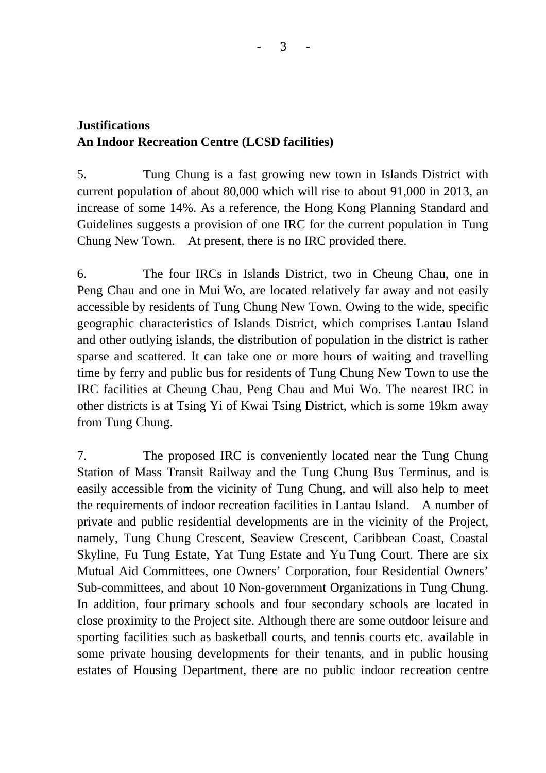# **Justifications An Indoor Recreation Centre (LCSD facilities)**

5. Tung Chung is a fast growing new town in Islands District with current population of about 80,000 which will rise to about 91,000 in 2013, an increase of some 14%. As a reference, the Hong Kong Planning Standard and Guidelines suggests a provision of one IRC for the current population in Tung Chung New Town. At present, there is no IRC provided there.

6. The four IRCs in Islands District, two in Cheung Chau, one in Peng Chau and one in Mui Wo, are located relatively far away and not easily accessible by residents of Tung Chung New Town. Owing to the wide, specific geographic characteristics of Islands District, which comprises Lantau Island and other outlying islands, the distribution of population in the district is rather sparse and scattered. It can take one or more hours of waiting and travelling time by ferry and public bus for residents of Tung Chung New Town to use the IRC facilities at Cheung Chau, Peng Chau and Mui Wo. The nearest IRC in other districts is at Tsing Yi of Kwai Tsing District, which is some 19km away from Tung Chung.

7. The proposed IRC is conveniently located near the Tung Chung Station of Mass Transit Railway and the Tung Chung Bus Terminus, and is easily accessible from the vicinity of Tung Chung, and will also help to meet the requirements of indoor recreation facilities in Lantau Island. A number of private and public residential developments are in the vicinity of the Project, namely, Tung Chung Crescent, Seaview Crescent, Caribbean Coast, Coastal Skyline, Fu Tung Estate, Yat Tung Estate and Yu Tung Court. There are six Mutual Aid Committees, one Owners' Corporation, four Residential Owners' Sub-committees, and about 10 Non-government Organizations in Tung Chung. In addition, four primary schools and four secondary schools are located in close proximity to the Project site. Although there are some outdoor leisure and sporting facilities such as basketball courts, and tennis courts etc. available in some private housing developments for their tenants, and in public housing estates of Housing Department, there are no public indoor recreation centre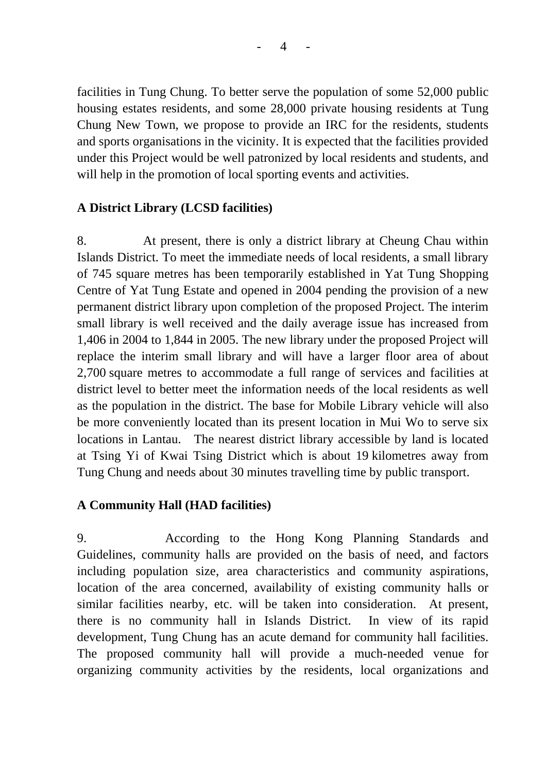$\overline{\mathcal{A}}$ 

facilities in Tung Chung. To better serve the population of some 52,000 public housing estates residents, and some 28,000 private housing residents at Tung Chung New Town, we propose to provide an IRC for the residents, students and sports organisations in the vicinity. It is expected that the facilities provided under this Project would be well patronized by local residents and students, and will help in the promotion of local sporting events and activities.

# **A District Library (LCSD facilities)**

8. At present, there is only a district library at Cheung Chau within Islands District. To meet the immediate needs of local residents, a small library of 745 square metres has been temporarily established in Yat Tung Shopping Centre of Yat Tung Estate and opened in 2004 pending the provision of a new permanent district library upon completion of the proposed Project. The interim small library is well received and the daily average issue has increased from 1,406 in 2004 to 1,844 in 2005. The new library under the proposed Project will replace the interim small library and will have a larger floor area of about 2,700 square metres to accommodate a full range of services and facilities at district level to better meet the information needs of the local residents as well as the population in the district. The base for Mobile Library vehicle will also be more conveniently located than its present location in Mui Wo to serve six locations in Lantau. The nearest district library accessible by land is located at Tsing Yi of Kwai Tsing District which is about 19 kilometres away from Tung Chung and needs about 30 minutes travelling time by public transport.

## **A Community Hall (HAD facilities)**

9. According to the Hong Kong Planning Standards and Guidelines, community halls are provided on the basis of need, and factors including population size, area characteristics and community aspirations, location of the area concerned, availability of existing community halls or similar facilities nearby, etc. will be taken into consideration. At present, there is no community hall in Islands District. In view of its rapid development, Tung Chung has an acute demand for community hall facilities. The proposed community hall will provide a much-needed venue for organizing community activities by the residents, local organizations and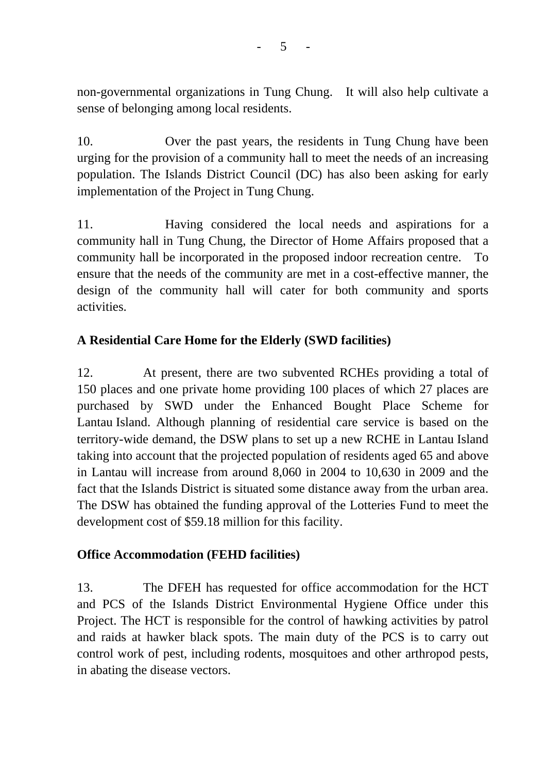non-governmental organizations in Tung Chung. It will also help cultivate a sense of belonging among local residents.

10. Over the past years, the residents in Tung Chung have been urging for the provision of a community hall to meet the needs of an increasing population. The Islands District Council (DC) has also been asking for early implementation of the Project in Tung Chung.

11. Having considered the local needs and aspirations for a community hall in Tung Chung, the Director of Home Affairs proposed that a community hall be incorporated in the proposed indoor recreation centre. To ensure that the needs of the community are met in a cost-effective manner, the design of the community hall will cater for both community and sports activities.

# **A Residential Care Home for the Elderly (SWD facilities)**

12. At present, there are two subvented RCHEs providing a total of 150 places and one private home providing 100 places of which 27 places are purchased by SWD under the Enhanced Bought Place Scheme for Lantau Island. Although planning of residential care service is based on the territory-wide demand, the DSW plans to set up a new RCHE in Lantau Island taking into account that the projected population of residents aged 65 and above in Lantau will increase from around 8,060 in 2004 to 10,630 in 2009 and the fact that the Islands District is situated some distance away from the urban area. The DSW has obtained the funding approval of the Lotteries Fund to meet the development cost of \$59.18 million for this facility.

## **Office Accommodation (FEHD facilities)**

13. The DFEH has requested for office accommodation for the HCT and PCS of the Islands District Environmental Hygiene Office under this Project. The HCT is responsible for the control of hawking activities by patrol and raids at hawker black spots. The main duty of the PCS is to carry out control work of pest, including rodents, mosquitoes and other arthropod pests, in abating the disease vectors.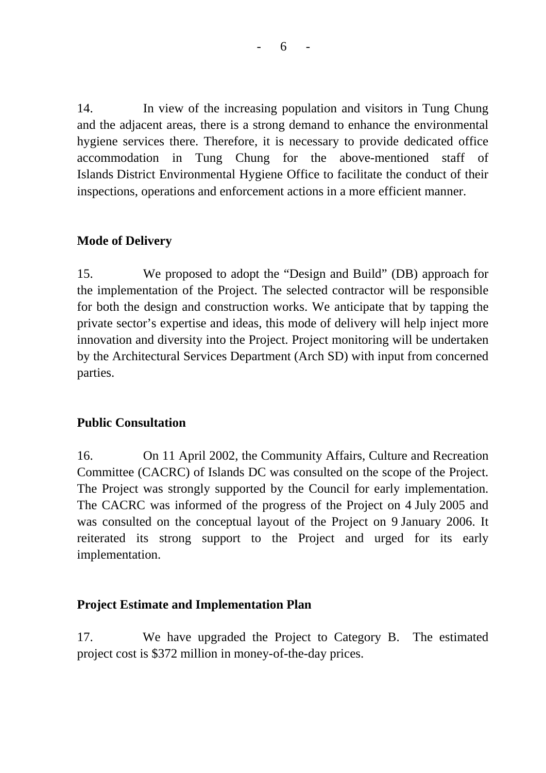- 6 -

14. In view of the increasing population and visitors in Tung Chung and the adjacent areas, there is a strong demand to enhance the environmental hygiene services there. Therefore, it is necessary to provide dedicated office accommodation in Tung Chung for the above-mentioned staff of Islands District Environmental Hygiene Office to facilitate the conduct of their inspections, operations and enforcement actions in a more efficient manner.

# **Mode of Delivery**

15. We proposed to adopt the "Design and Build" (DB) approach for the implementation of the Project. The selected contractor will be responsible for both the design and construction works. We anticipate that by tapping the private sector's expertise and ideas, this mode of delivery will help inject more innovation and diversity into the Project. Project monitoring will be undertaken by the Architectural Services Department (Arch SD) with input from concerned parties.

## **Public Consultation**

16. On 11 April 2002, the Community Affairs, Culture and Recreation Committee (CACRC) of Islands DC was consulted on the scope of the Project. The Project was strongly supported by the Council for early implementation. The CACRC was informed of the progress of the Project on 4 July 2005 and was consulted on the conceptual layout of the Project on 9 January 2006. It reiterated its strong support to the Project and urged for its early implementation.

## **Project Estimate and Implementation Plan**

17. We have upgraded the Project to Category B. The estimated project cost is \$372 million in money-of-the-day prices.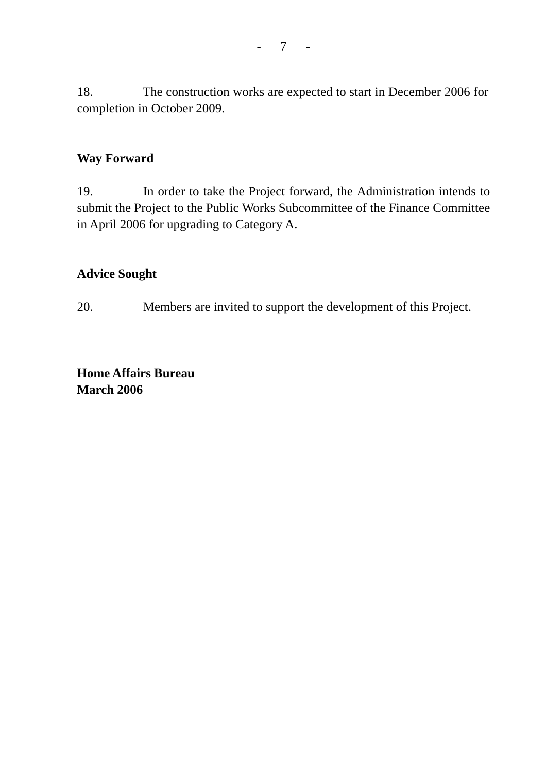18. The construction works are expected to start in December 2006 for completion in October 2009.

## **Way Forward**

19. In order to take the Project forward, the Administration intends to submit the Project to the Public Works Subcommittee of the Finance Committee in April 2006 for upgrading to Category A.

### **Advice Sought**

20. Members are invited to support the development of this Project.

**Home Affairs Bureau March 2006**